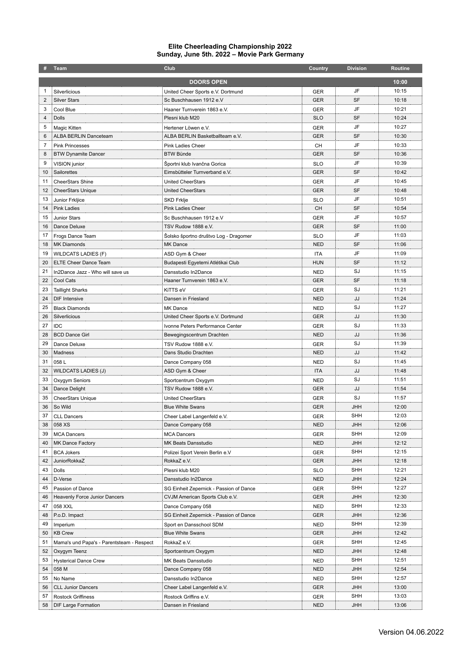## **Elite Cheerleading Championship 2022 Sunday, June 5th. 2022 – Movie Park Germany**

|                | <b>Team</b>                               | Club                                    | Country    | <b>Division</b> | <b>Routine</b> |
|----------------|-------------------------------------------|-----------------------------------------|------------|-----------------|----------------|
|                |                                           | <b>DOORS OPEN</b>                       |            |                 | 10:00          |
| 1              | Silverlicious                             | United Cheer Sports e.V. Dortmund       | <b>GER</b> | JF              | 10:15          |
| $\overline{2}$ | <b>Silver Stars</b>                       | Sc Buschhausen 1912 e.V                 | <b>GER</b> | <b>SF</b>       | 10:18          |
| 3              | Cool Blue                                 | Haaner Turnverein 1863 e.V.             | <b>GER</b> | JF              | 10:21          |
| 4              | <b>Dolls</b>                              | Plesni klub M20                         | <b>SLO</b> | SF              | 10:24          |
| 5              | Magic Kitten                              | Hertener Löwen e.V.                     | <b>GER</b> | JF              | 10:27          |
| 6              | ALBA BERLIN Danceteam                     | ALBA BERLIN Basketballteam e.V.         | <b>GER</b> | <b>SF</b>       | 10:30          |
| 7              | <b>Pink Princesses</b>                    | Pink Ladies Cheer                       | CН         | JF              | 10:33          |
| 8              | <b>BTW Dynamite Dancer</b>                | <b>BTW Bünde</b>                        | <b>GER</b> | <b>SF</b>       | 10:36          |
| 9              | VISION junior                             | Sportni klub Ivančna Gorica             | <b>SLO</b> | JF              | 10:39          |
| 10             | Sailorettes                               | Eimsbütteler Turnverband e.V.           | <b>GER</b> | <b>SF</b>       | 10:42          |
| 11             | <b>CheerStars Shine</b>                   | <b>United CheerStars</b>                | <b>GER</b> | JF              | 10:45          |
| 12             | <b>CheerStars Unique</b>                  | <b>United CheerStars</b>                | <b>GER</b> | <b>SF</b>       | 10:48          |
| 13             | Junior Frkljice                           | <b>SKD Frklje</b>                       | <b>SLO</b> | JF              | 10:51          |
| 14             | <b>Pink Ladies</b>                        | <b>Pink Ladies Cheer</b>                | <b>CH</b>  | <b>SF</b>       | 10:54          |
| 15             | Junior Stars                              | Sc Buschhausen 1912 e.V                 | <b>GER</b> | JF              | 10:57          |
| 16             | Dance Deluxe                              | TSV Rudow 1888 e.V.                     | <b>GER</b> | <b>SF</b>       | 11:00          |
| 17             | Frogs Dance Team                          | Šolsko športno društvo Log - Dragomer   | <b>SLO</b> | JF              | 11:03          |
| 18             | <b>MK Diamonds</b>                        | MK Dance                                | <b>NED</b> | <b>SF</b>       | 11:06          |
| 19             | <b>WILDCATS LADIES (F)</b>                | ASD Gym & Cheer                         | <b>ITA</b> | JF              | 11:09          |
| 20             | <b>ELTE Cheer Dance Team</b>              | Budapesti Egyetemi Atlétikai Club       | <b>HUN</b> | <b>SF</b>       | 11:12          |
| 21             | In2Dance Jazz - Who will save us          | Dansstudio In2Dance                     | <b>NED</b> | SJ              | 11:15          |
| 22             | Cool Cats                                 | Haaner Turnverein 1863 e.V.             | <b>GER</b> | <b>SF</b>       | 11:18          |
| 23             | <b>Taillight Sharks</b>                   | KITTS eV                                | GER        | SJ              | 11:21          |
| 24             | <b>DIF</b> Intensive                      | Dansen in Friesland                     | <b>NED</b> | JJ              | 11:24          |
| 25             | <b>Black Diamonds</b>                     | MK Dance                                | <b>NED</b> | SJ              | 11:27          |
| 26             | Silverlicious                             | United Cheer Sports e.V. Dortmund       | <b>GER</b> | JJ              | 11:30          |
| 27             | <b>IDC</b>                                | Ivonne Peters Performance Center        | <b>GER</b> | SJ              | 11:33          |
| 28             | <b>BCD Dance Girl</b>                     | Bewegingscentrum Drachten               | <b>NED</b> | JJ              | 11:36          |
| 29             | Dance Deluxe                              | TSV Rudow 1888 e.V.                     | <b>GER</b> | SJ              | 11:39          |
| 30             | Madness                                   | Dans Studio Drachten                    | <b>NED</b> | JJ              | 11:42          |
| 31             | 058L                                      | Dance Company 058                       | <b>NED</b> | SJ              | 11:45          |
| 32             | WILDCATS LADIES (J)                       | ASD Gym & Cheer                         | <b>ITA</b> | JJ              | 11:48          |
| 33             | Oxygym Seniors                            | Sportcentrum Oxygym                     | <b>NED</b> | SJ              | 11:51          |
| 34             | Dance Delight                             | TSV Rudow 1888 e.V.                     | <b>GER</b> | JJ              | 11:54          |
| 35             | <b>CheerStars Unique</b>                  | <b>United CheerStars</b>                | GER        | SJ              | 11:57          |
| 36             | So Wild                                   | <b>Blue White Swans</b>                 | <b>GER</b> | JHH             | 12:00          |
| 37             | <b>CLL Dancers</b>                        | Cheer Label Langenfeld e.V.             | GER        | <b>SHH</b>      | 12:03          |
| 38             | 058 XS                                    | Dance Company 058                       | <b>NED</b> | JHH             | 12:06          |
| 39             | MCA Dancers                               | <b>MCA Dancers</b>                      | GER        | <b>SHH</b>      | 12:09          |
| 40             | MK Dance Factory                          | <b>MK Beats Dansstudio</b>              | <b>NED</b> | <b>JHH</b>      | 12:12          |
| 41             | <b>BCA Jokers</b>                         | Polizei Sport Verein Berlin e.V         | GER        | <b>SHH</b>      | 12:15          |
| 42             | JuniorRokkaZ                              | RokkaZ e.V.                             | <b>GER</b> | <b>JHH</b>      | 12:18          |
| 43             | Dolls                                     | Plesni klub M20                         | <b>SLO</b> | <b>SHH</b>      | 12:21          |
| 44             | D-Verse                                   | Dansstudio In2Dance                     | <b>NED</b> | JHH             | 12:24          |
| 45             | Passion of Dance                          | SG Einheit Zepernick - Passion of Dance | <b>GER</b> | <b>SHH</b>      | 12:27          |
| 46             | Heavenly Force Junior Dancers             | CVJM American Sports Club e.V.          | <b>GER</b> | <b>JHH</b>      | 12:30          |
| 47             | 058 XXL                                   | Dance Company 058                       | <b>NED</b> | <b>SHH</b>      | 12:33          |
| 48             | P.o.D. Impact                             | SG Einheit Zepernick - Passion of Dance | <b>GER</b> | <b>JHH</b>      | 12:36          |
| 49             | Imperium                                  | Sport en Dansschool SDM                 | NED        | <b>SHH</b>      | 12:39          |
| 50             | <b>KB Crew</b>                            | <b>Blue White Swans</b>                 | <b>GER</b> | <b>JHH</b>      | 12:42          |
| 51             | Mama's und Papa's - Parentsteam - Respect | RokkaZ e.V.                             | GER        | <b>SHH</b>      | 12:45          |
| 52             | Oxygym Teenz                              | Sportcentrum Oxygym                     | <b>NED</b> | JHH             | 12:48          |
| 53             | <b>Hysterical Dance Crew</b>              | MK Beats Dansstudio                     | NED        | <b>SHH</b>      | 12:51          |
| 54             | 058 M                                     | Dance Company 058                       | <b>NED</b> | JHH             | 12:54          |
| 55             | No Name                                   | Dansstudio In2Dance                     | <b>NED</b> | <b>SHH</b>      | 12:57          |
| 56             | <b>CLL Junior Dancers</b>                 | Cheer Label Langenfeld e.V.             | <b>GER</b> | <b>JHH</b>      | 13:00          |
| 57             | <b>Rostock Griffiness</b>                 | Rostock Griffins e.V.                   | GER        | <b>SHH</b>      | 13:03          |
| 58             | DIF Large Formation                       | Dansen in Friesland                     | <b>NED</b> | <b>JHH</b>      | 13:06          |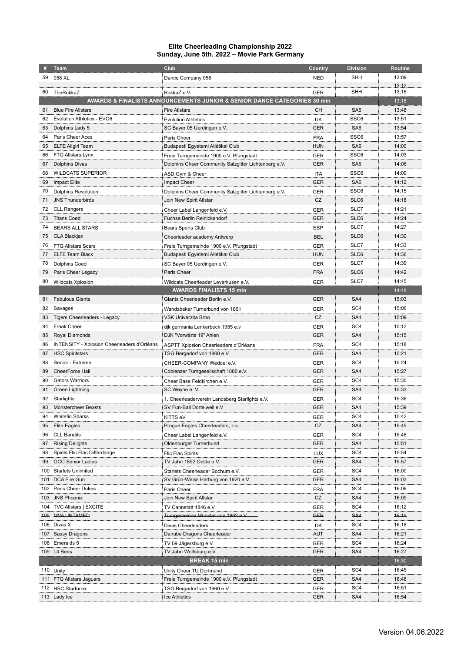## **Elite Cheerleading Championship 2022 Sunday, June 5th. 2022 – Movie Park Germany**

| #        | <b>Team</b>                                         | Club                                                                     | Country                  | <b>Division</b>  | Routine        |
|----------|-----------------------------------------------------|--------------------------------------------------------------------------|--------------------------|------------------|----------------|
| 59       | 058 XL                                              | Dance Company 058                                                        | <b>NED</b>               | <b>SHH</b>       | 13:09          |
|          |                                                     |                                                                          |                          |                  | 13:12          |
| 60       | TheRokkaZ                                           | RokkaZ e.V.                                                              | <b>GER</b>               | <b>SHH</b>       | 13:15          |
|          |                                                     | AWARDS & FINALISTS ANNOUNCEMENTS JUNIOR & SENIOR DANCE CATEGORIES 30 min |                          |                  | 13:18          |
| 61       | <b>Blue Fire Allstars</b>                           | <b>Fire Allstars</b>                                                     | CН                       | SA <sub>6</sub>  | 13:48          |
| 62       | Evolution Athletics - EVO6                          | <b>Evolution Athletics</b>                                               | <b>UK</b>                | SSC <sub>6</sub> | 13:51          |
| 63       | Dolphins Lady 5                                     | SC Bayer 05 Uerdingen e.V.                                               | <b>GER</b>               | SA <sub>6</sub>  | 13:54          |
| 64       | Paris Cheer Aces                                    | Paris Cheer                                                              | <b>FRA</b>               | SSC <sub>6</sub> | 13:57          |
| 65       | <b>ELTE Allgirl Team</b>                            | Budapesti Egyetemi Atlétikai Club                                        | <b>HUN</b>               | SA <sub>6</sub>  | 14:00          |
| 66       | FTG Allstars Lynx                                   | Freie Turngemeinde 1900 e.V. Pfungstadt                                  | GER                      | SSC6             | 14:03          |
| 67       | <b>Dolphins Divas</b>                               | Dolphins Cheer Community Salzgitter Lichtenberg e.V.                     | <b>GER</b>               | SA6              | 14:06          |
| 68       | <b>WILDCATS SUPERIOR</b>                            | ASD Gym & Cheer                                                          | <b>ITA</b>               | SSC6             | 14:09          |
| 69       | Impact Elite                                        | <b>Impact Cheer</b>                                                      | <b>GER</b>               | SA <sub>6</sub>  | 14:12          |
| 70       | Dolphins Revolution                                 | Dolphins Cheer Community Salzgitter Lichtenberg e.V.                     | GER                      | SSC <sub>6</sub> | 14:15          |
| 71       | <b>JNS Thunderbirds</b>                             | Join New Spirit Allstar                                                  | CZ                       | SLC6             | 14:18          |
| 72       | <b>CLL Rangers</b><br><b>Titans Coed</b>            | Cheer Label Langenfeld e.V.<br>Füchse Berlin Reinickendorf               | <b>GER</b><br><b>GER</b> | SLC7<br>SLC6     | 14:21<br>14:24 |
| 73<br>74 |                                                     |                                                                          |                          | SLC7             | 14:27          |
| 75       | <b>BEARS ALL STARS</b>                              | <b>Bears Sports Club</b>                                                 | <b>ESP</b>               | SLC6             | 14:30          |
| 76       | CLA Blackjax                                        | Cheerleader academy Antwerp                                              | <b>BEL</b>               | SLC7             | 14:33          |
| 77       | <b>FTG Allstars Scars</b><br><b>ELTE Team Black</b> | Freie Turngemeinde 1900 e.V. Pfungstadt                                  | <b>GER</b><br><b>HUN</b> | SLC6             | 14:36          |
|          |                                                     | Budapesti Egyetemi Atlétikai Club                                        |                          | SLC7             | 14:39          |
| 78<br>79 | Dolphins Coed<br>Paris Cheer Legacy                 | SC Bayer 05 Uerdingen e.V.<br>Paris Cheer                                | GER<br><b>FRA</b>        | SLC6             | 14:42          |
| 80       |                                                     |                                                                          |                          | SLC7             | 14:45          |
|          | <b>Wildcats Xplosion</b>                            | Wildcats Cheerleader Leverkusen e.V.<br>AWARDS FINALISTS 15 min          | <b>GER</b>               |                  | 14:48          |
| 81       | <b>Fabulous Giants</b>                              | Giants Cheerleader Berlin e.V.                                           | <b>GER</b>               | SA4              | 15:03          |
| 82       | Savages                                             |                                                                          |                          | SC <sub>4</sub>  | 15:06          |
| 83       | Tigers Cheerleaders - Legacy                        | Wandsbeker Turnerbund von 1861<br>VSK Univerzita Brno                    | GER<br>CZ                | SA4              | 15:09          |
| 84       | Freak Cheer                                         |                                                                          |                          | SC <sub>4</sub>  | 15:12          |
| 85       | Royal Diamonds                                      | djk germania Lenkerbeck 1955 e.v<br>DJK "Vorwärts 19" Ahlen              | GER<br><b>GER</b>        | SA4              | 15:15          |
| 86       | INTENSITY - Xplosion Cheerleaders d'Orléans         |                                                                          | <b>FRA</b>               | SC <sub>4</sub>  | 15:18          |
| 87       | <b>HSC Spiritstars</b>                              | ASPTT Xplosion Cheerleaders d'Orléans<br>TSG Bergedorf von 1860 e.V      | <b>GER</b>               | SA4              | 15:21          |
| 88       | Senior - Extreme                                    | CHEER-COMPANY Weddel e.V.                                                | GER                      | SC <sub>4</sub>  | 15:24          |
| 89       | CheerForce Hail                                     | Coblenzer Turngesellschaft 1880 e.V.                                     | <b>GER</b>               | SA4              | 15:27          |
| 90       | <b>Gators Warriors</b>                              | Cheer Base Feldkirchen e.V.                                              | GER                      | SC <sub>4</sub>  | 15:30          |
| 91       | Green Lightning                                     | SC Weyhe e. V.                                                           | <b>GER</b>               | SA4              | 15:33          |
| 92       | Starlights                                          | 1. Cheerleaderverein Landsberg Starlights e.V.                           | <b>GER</b>               | SC <sub>4</sub>  | 15:36          |
| 93       | Monstercheer Beasts                                 | SV Fun-Ball Dortelweil e.V                                               | <b>GER</b>               | SA4              | 15:39          |
| 94       | <b>Whitefin Sharks</b>                              | KiTTS eV                                                                 | GER                      | SC <sub>4</sub>  | 15:42          |
| 95       | <b>Elite Eagles</b>                                 | Prague Eagles Cheerleaders, z.s.                                         | CZ                       | SA4              | 15:45          |
| 96       | <b>CLL Bandits</b>                                  | Cheer Label Langenfeld e.V.                                              | <b>GER</b>               | SC <sub>4</sub>  | 15:48          |
| 97       | <b>Rising Delights</b>                              | Oldenburger Turnerbund                                                   | <b>GER</b>               | SA4              | 15:51          |
| 98       | Spirits Flic Flac Differdange                       | Flic Flac Spirits                                                        | LUX                      | SC <sub>4</sub>  | 15:54          |
| 99       | <b>GCC Senior Ladies</b>                            | TV Jahn 1892 Oelde e.V.                                                  | <b>GER</b>               | SA4              | 15:57          |
| 100      | <b>Starlets Unlimited</b>                           | Starlets Cheerleader Bochum e.V.                                         | <b>GER</b>               | SC <sub>4</sub>  | 16:00          |
| 101      | DCA Fire Gun                                        | SV Grün-Weiss Harburg von 1920 e.V.                                      | <b>GER</b>               | SA4              | 16:03          |
| 102      | Paris Cheer Dukes                                   | Paris Cheer                                                              | <b>FRA</b>               | SC <sub>4</sub>  | 16:06          |
| 103      | <b>JNS Phoenix</b>                                  | Join New Spirit Allstar                                                  | CZ                       | SA4              | 16:09          |
| 104      | TVC Allstars   EXCITE                               | TV Cannstatt 1846 e.V.                                                   | <b>GER</b>               | SC <sub>4</sub>  | 16:12          |
| 405      | <b>MVA UNTAMED</b>                                  | Turngemeinde Münster von 1862 e.V                                        | <b>GER</b>               | SA4              | 46:15          |
|          | 106 Divas X                                         | Divas Cheerleaders                                                       | DK                       | SC <sub>4</sub>  | 16:18          |
| 107      | <b>Sassy Dragons</b>                                | Danube Dragons Cheerleader                                               | <b>AUT</b>               | SA4              | 16:21          |
| 108      | Emeralds 5                                          | TV 09 Jägersburg e.V.                                                    | <b>GER</b>               | SC <sub>4</sub>  | 16:24          |
|          | $109$   L4 Bees                                     | TV Jahn Wolfsburg e.V.                                                   | <b>GER</b>               | SA4              | 16:27          |
|          |                                                     | <b>BREAK 15 min</b>                                                      |                          |                  | 16:30          |
|          | 110 Unity                                           | Unity Cheer TU Dortmund                                                  | GER                      | SC <sub>4</sub>  | 16:45          |
|          | 111 FTG Allstars Jaguars                            | Freie Turngemeinde 1900 e.V. Pfungstadt                                  | <b>GER</b>               | SA4              | 16:48          |
| 112      | HSC Starforce                                       | TSG Bergedorf von 1860 e.V.                                              | <b>GER</b>               | SC <sub>4</sub>  | 16:51          |
|          | 113 Lady Ice                                        | <b>Ice Athletics</b>                                                     | <b>GER</b>               | SA4              | 16:54          |
|          |                                                     |                                                                          |                          |                  |                |